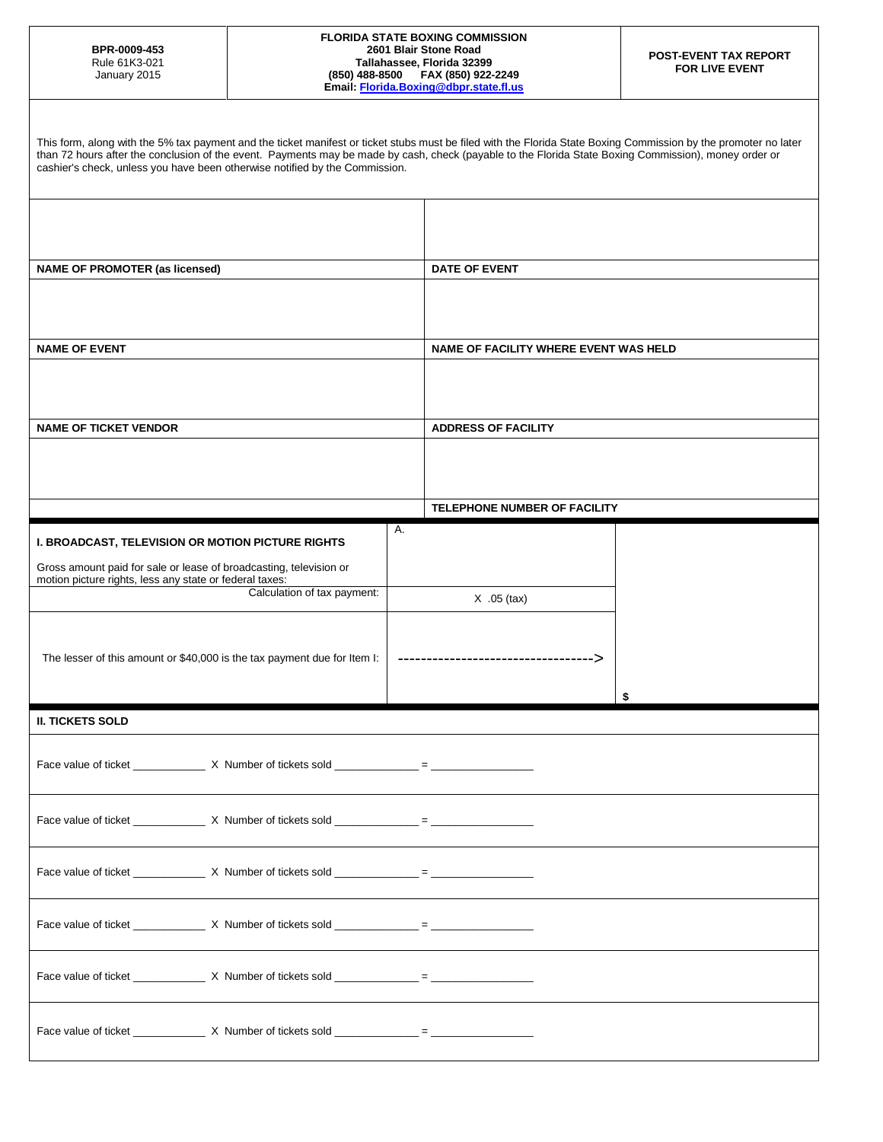## **FLORIDA STATE BOXING COMMISSION 2601 Blair Stone Road Tallahassee, Florida 32399 (850) 488-8500 FAX (850) 922-2249 Email[: Florida.Boxing@dbpr.state.fl.us](mailto:Florida.Boxing@dbpr.state.fl.us)**

| This form, along with the 5% tax payment and the ticket manifest or ticket stubs must be filed with the Florida State Boxing Commission by the promoter no later<br>than 72 hours after the conclusion of the event. Payments may be made by cash, check (payable to the Florida State Boxing Commission), money order or<br>cashier's check, unless you have been otherwise notified by the Commission. |                                                       |                                       |  |  |
|----------------------------------------------------------------------------------------------------------------------------------------------------------------------------------------------------------------------------------------------------------------------------------------------------------------------------------------------------------------------------------------------------------|-------------------------------------------------------|---------------------------------------|--|--|
| <b>NAME OF PROMOTER (as licensed)</b>                                                                                                                                                                                                                                                                                                                                                                    |                                                       | DATE OF EVENT                         |  |  |
| <b>NAME OF EVENT</b>                                                                                                                                                                                                                                                                                                                                                                                     |                                                       | NAME OF FACILITY WHERE EVENT WAS HELD |  |  |
| <b>NAME OF TICKET VENDOR</b>                                                                                                                                                                                                                                                                                                                                                                             |                                                       | <b>ADDRESS OF FACILITY</b>            |  |  |
|                                                                                                                                                                                                                                                                                                                                                                                                          |                                                       |                                       |  |  |
|                                                                                                                                                                                                                                                                                                                                                                                                          |                                                       | TELEPHONE NUMBER OF FACILITY          |  |  |
| I. BROADCAST, TELEVISION OR MOTION PICTURE RIGHTS<br>Gross amount paid for sale or lease of broadcasting, television or<br>motion picture rights, less any state or federal taxes:<br>Calculation of tax payment:                                                                                                                                                                                        | Α.                                                    |                                       |  |  |
| The lesser of this amount or \$40,000 is the tax payment due for Item I:                                                                                                                                                                                                                                                                                                                                 | $X.05$ (tax)<br>------------------------------------> |                                       |  |  |
| <b>II. TICKETS SOLD</b>                                                                                                                                                                                                                                                                                                                                                                                  |                                                       |                                       |  |  |
| Face value of ticket _______________ X Number of tickets sold _____________ = _____                                                                                                                                                                                                                                                                                                                      |                                                       |                                       |  |  |
|                                                                                                                                                                                                                                                                                                                                                                                                          |                                                       |                                       |  |  |
|                                                                                                                                                                                                                                                                                                                                                                                                          |                                                       |                                       |  |  |
|                                                                                                                                                                                                                                                                                                                                                                                                          |                                                       |                                       |  |  |
|                                                                                                                                                                                                                                                                                                                                                                                                          |                                                       |                                       |  |  |
|                                                                                                                                                                                                                                                                                                                                                                                                          |                                                       |                                       |  |  |
|                                                                                                                                                                                                                                                                                                                                                                                                          |                                                       |                                       |  |  |